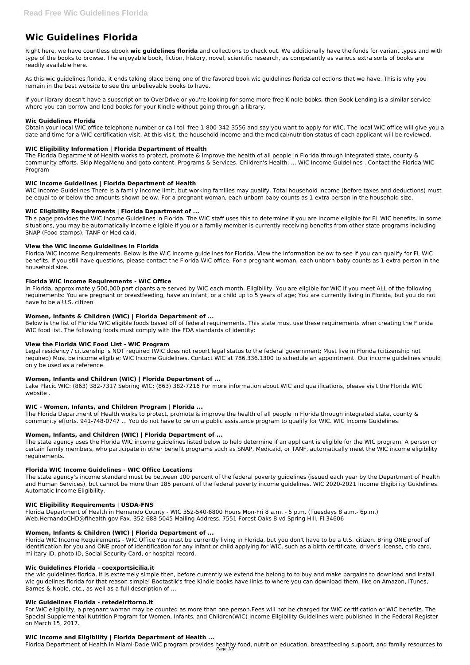# **Wic Guidelines Florida**

Right here, we have countless ebook **wic guidelines florida** and collections to check out. We additionally have the funds for variant types and with type of the books to browse. The enjoyable book, fiction, history, novel, scientific research, as competently as various extra sorts of books are readily available here.

As this wic guidelines florida, it ends taking place being one of the favored book wic guidelines florida collections that we have. This is why you remain in the best website to see the unbelievable books to have.

If your library doesn't have a subscription to OverDrive or you're looking for some more free Kindle books, then Book Lending is a similar service where you can borrow and lend books for your Kindle without going through a library.

The Florida Department of Health works to protect, promote & improve the health of all people in Florida through integrated state, county & community efforts. Skip MegaMenu and goto content. Programs & Services. Children's Health; ... WIC Income Guidelines . Contact the Florida WIC Program

# **Wic Guidelines Florida**

Obtain your local WIC office telephone number or call toll free 1-800-342-3556 and say you want to apply for WIC. The local WIC office will give you a date and time for a WIC certification visit. At this visit, the household income and the medical/nutrition status of each applicant will be reviewed.

# **WIC Eligibility Information | Florida Department of Health**

# **WIC Income Guidelines | Florida Department of Health**

WIC Income Guidelines There is a family income limit, but working families may qualify. Total household income (before taxes and deductions) must be equal to or below the amounts shown below. For a pregnant woman, each unborn baby counts as 1 extra person in the household size.

# **WIC Eligibility Requirements | Florida Department of ...**

This page provides the WIC Income Guidelines in Florida. The WIC staff uses this to determine if you are income eligible for FL WIC benefits. In some situations, you may be automatically income eligible if you or a family member is currently receiving benefits from other state programs including SNAP (Food stamps), TANF or Medicaid.

The Florida Department of Health works to protect, promote & improve the health of all people in Florida through integrated state, county & community efforts. 941-748-0747 ... You do not have to be on a public assistance program to qualify for WIC. WIC Income Guidelines.

# **View the WIC Income Guidelines in Florida**

Florida WIC Income Requirements. Below is the WIC income guidelines for Florida. View the information below to see if you can qualify for FL WIC benefits. If you still have questions, please contact the Florida WIC office. For a pregnant woman, each unborn baby counts as 1 extra person in the household size.

#### **Florida WIC Income Requirements - WIC Office**

In Florida, approximately 500,000 participants are served by WIC each month. Eligibility. You are eligible for WIC if you meet ALL of the following requirements: You are pregnant or breastfeeding, have an infant, or a child up to 5 years of age; You are currently living in Florida, but you do not have to be a U.S. citizen

# **Women, Infants & Children (WIC) | Florida Department of ...**

Below is the list of Florida WIC eligible foods based off of federal requirements. This state must use these requirements when creating the Florida WIC food list. The following foods must comply with the FDA standards of identity:

#### **View the Florida WIC Food List - WIC Program**

Legal residency / citizenship is NOT required (WIC does not report legal status to the federal government; Must live in Florida (citizenship not required) Must be income eligible; WIC Income Guidelines. Contact WIC at 786.336.1300 to schedule an appointment. Our income guidelines should only be used as a reference.

#### **Women, Infants and Children (WIC) | Florida Department of ...**

Lake Placic WIC: (863) 382-7317 Sebring WIC: (863) 382-7216 For more information about WIC and qualifications, please visit the Florida WIC website .

#### **WIC - Women, Infants, and Children Program | Florida ...**

#### **Women, Infants, and Children (WIC) | Florida Department of ...**

The state agency uses the Florida WIC income guidelines listed below to help determine if an applicant is eligible for the WIC program. A person or certain family members, who participate in other benefit programs such as SNAP, Medicaid, or TANF, automatically meet the WIC income eligibility requirements.

#### **Florida WIC Income Guidelines - WIC Office Locations**

The state agency's income standard must be between 100 percent of the federal poverty guidelines (issued each year by the Department of Health and Human Services), but cannot be more than 185 percent of the federal poverty income guidelines. WIC 2020-2021 Income Eligibility Guidelines. Automatic Income Eligibility.

#### **WIC Eligibility Requirements | USDA-FNS**

Florida Department of Health in Hernando County - WIC 352-540-6800 Hours Mon-Fri 8 a.m. - 5 p.m. (Tuesdays 8 a.m.- 6p.m.) Web.HernandoCHD@flhealth.gov Fax. 352-688-5045 Mailing Address. 7551 Forest Oaks Blvd Spring Hill, Fl 34606

#### **Women, Infants & Children (WIC) | Florida Department of ...**

Florida WIC Income Requirements - WIC Office You must be currently living in Florida, but you don't have to be a U.S. citizen. Bring ONE proof of identification for you and ONE proof of identification for any infant or child applying for WIC, such as a birth certificate, driver's license, crib card, military ID, photo ID, Social Security Card, or hospital record.

#### **Wic Guidelines Florida - coexportsicilia.it**

the wic guidelines florida, it is extremely simple then, before currently we extend the belong to to buy and make bargains to download and install wic guidelines florida for that reason simple! Bootastik's free Kindle books have links to where you can download them, like on Amazon, iTunes, Barnes & Noble, etc., as well as a full description of ...

#### **Wic Guidelines Florida - retedelritorno.it**

For WIC eligibility, a pregnant woman may be counted as more than one person.Fees will not be charged for WIC certification or WIC benefits. The Special Supplemental Nutrition Program for Women, Infants, and Children(WIC) Income Eligibility Guidelines were published in the Federal Register on March 15, 2017.

#### **WIC Income and Eligibility | Florida Department of Health ...**

Florida Department of Health in Miami-Dade WIC program provides healthy food, nutrition education, breastfeeding support, and family resources to Page 1/2